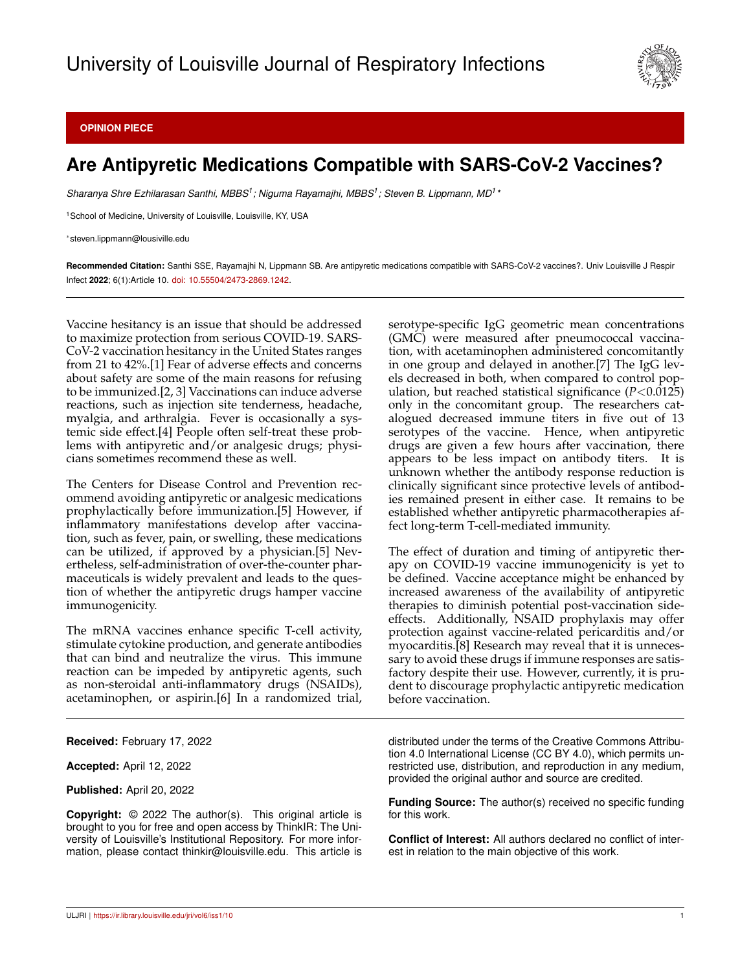

## **OPINION PIECE**

## **Are Antipyretic Medications Compatible with SARS-CoV-2 Vaccines?**

*Sharanya Shre Ezhilarasan Santhi, MBBS<sup>1</sup> ; Niguma Rayamajhi, MBBS<sup>1</sup> ; Steven B. Lippmann, MD<sup>1</sup> \**

<sup>1</sup>School of Medicine, University of Louisville, Louisville, KY, USA

<sup>∗</sup>steven.lippmann@lousiville.edu

**Recommended Citation:** Santhi SSE, Rayamajhi N, Lippmann SB. Are antipyretic medications compatible with SARS-CoV-2 vaccines?. Univ Louisville J Respir Infect **2022**; 6(1):Article 10. [doi: 10.55504/2473-2869.1242.](http://dx.doi.org/10.55504/2473-2869.\submissionno )

Vaccine hesitancy is an issue that should be addressed to maximize protection from serious COVID-19. SARS-CoV-2 vaccination hesitancy in the United States ranges from 21 to 42%.[1] Fear of adverse effects and concerns about safety are some of the main reasons for refusing to be immunized.[2, 3] Vaccinations can induce adverse reactions, such as injection site tenderness, headache, myalgia, and arthralgia. Fever is occasionally a systemic side effect.[4] People often self-treat these problems with antipyretic and/or analgesic drugs; physicians sometimes recommend these as well.

The Centers for Disease Control and Prevention recommend avoiding antipyretic or analgesic medications prophylactically before immunization.[5] However, if inflammatory manifestations develop after vaccination, such as fever, pain, or swelling, these medications can be utilized, if approved by a physician.[5] Nevertheless, self-administration of over-the-counter pharmaceuticals is widely prevalent and leads to the question of whether the antipyretic drugs hamper vaccine immunogenicity.

The mRNA vaccines enhance specific T-cell activity, stimulate cytokine production, and generate antibodies that can bind and neutralize the virus. This immune reaction can be impeded by antipyretic agents, such as non-steroidal anti-inflammatory drugs (NSAIDs), acetaminophen, or aspirin.[6] In a randomized trial,

**Received:** February 17, 2022

**Accepted:** April 12, 2022

**Published:** April 20, 2022

**Copyright:** © 2022 The author(s). This original article is brought to you for free and open access by ThinkIR: The University of Louisville's Institutional Repository. For more information, please contact thinkir@louisville.edu. This article is serotype-specific IgG geometric mean concentrations (GMC) were measured after pneumococcal vaccination, with acetaminophen administered concomitantly in one group and delayed in another.[7] The IgG levels decreased in both, when compared to control population, but reached statistical significance (*P*<0.0125) only in the concomitant group. The researchers catalogued decreased immune titers in five out of 13 serotypes of the vaccine. Hence, when antipyretic drugs are given a few hours after vaccination, there appears to be less impact on antibody titers. It is unknown whether the antibody response reduction is clinically significant since protective levels of antibodies remained present in either case. It remains to be established whether antipyretic pharmacotherapies affect long-term T-cell-mediated immunity.

The effect of duration and timing of antipyretic therapy on COVID-19 vaccine immunogenicity is yet to be defined. Vaccine acceptance might be enhanced by increased awareness of the availability of antipyretic therapies to diminish potential post-vaccination sideeffects. Additionally, NSAID prophylaxis may offer protection against vaccine-related pericarditis and/or myocarditis.[8] Research may reveal that it is unnecessary to avoid these drugs if immune responses are satisfactory despite their use. However, currently, it is prudent to discourage prophylactic antipyretic medication before vaccination.

distributed under the terms of the Creative Commons Attribution 4.0 International License (CC BY 4.0), which permits unrestricted use, distribution, and reproduction in any medium, provided the original author and source are credited.

**Funding Source:** The author(s) received no specific funding for this work.

**Conflict of Interest:** All authors declared no conflict of interest in relation to the main objective of this work.